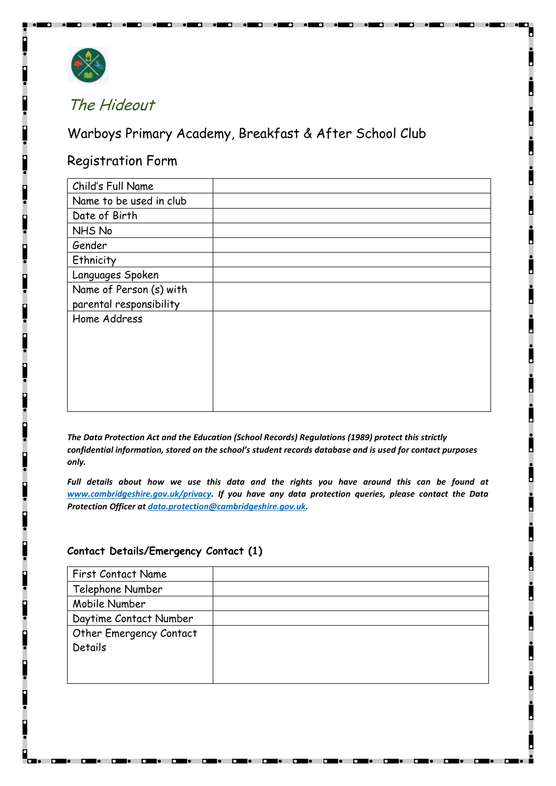

# The Hideout

Warboys Primary Academy, Breakfast & After School Club

# Registration Form

| Child's Full Name       |  |
|-------------------------|--|
| Name to be used in club |  |
| Date of Birth           |  |
| NHS No                  |  |
| Gender                  |  |
| Ethnicity               |  |
| Languages Spoken        |  |
| Name of Person (s) with |  |
| parental responsibility |  |
| Home Address            |  |
|                         |  |
|                         |  |
|                         |  |
|                         |  |
|                         |  |
|                         |  |

*The Data Protection Act and the Education (School Records) Regulations (1989) protect this strictly confidential information, stored on the school's student records database and is used for contact purposes only.* 

*Full details about how we use this data and the rights you have around this can be found at [www.cambridgeshire.gov.uk/privacy.](http://www.cambridgeshire.gov.uk/privacy) If you have any data protection queries, please contact the Data Protection Officer a[t data.protection@cambridgeshire.gov.uk.](mailto:data.protection@cambridgeshire.gov.uk)*

#### **Contact Details/Emergency Contact (1)**

| First Contact Name      |  |
|-------------------------|--|
| Telephone Number        |  |
| Mobile Number           |  |
| Daytime Contact Number  |  |
| Other Emergency Contact |  |
| Details                 |  |
|                         |  |
|                         |  |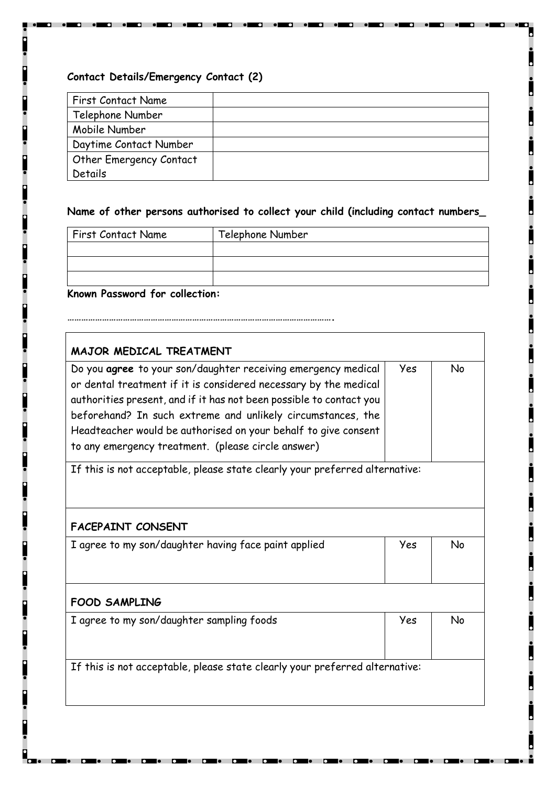### **Contact Details/Emergency Contact (2)**

| <b>First Contact Name</b> |  |
|---------------------------|--|
| Telephone Number          |  |
| Mobile Number             |  |
| Daytime Contact Number    |  |
| Other Emergency Contact   |  |
| Details                   |  |

 $\blacksquare$ 

 $\bullet$   $\blacksquare$ 

 $\overline{\phantom{a}}$ 

 $\overline{\phantom{a}}$ 

 $\blacksquare$ 

# **Name of other persons authorised to collect your child (including contact numbers\_**

| <b>First Contact Name</b> | Telephone Number |
|---------------------------|------------------|
|                           |                  |
|                           |                  |
|                           |                  |

# **Known Password for collection:**

**…………………………………………………………………………………………………….**

| MAJOR MEDICAL TREATMENT                                                     |     |    |
|-----------------------------------------------------------------------------|-----|----|
| Do you agree to your son/daughter receiving emergency medical               | Yes | No |
| or dental treatment if it is considered necessary by the medical            |     |    |
| authorities present, and if it has not been possible to contact you         |     |    |
| beforehand? In such extreme and unlikely circumstances, the                 |     |    |
| Headteacher would be authorised on your behalf to give consent              |     |    |
| to any emergency treatment. (please circle answer)                          |     |    |
| If this is not acceptable, please state clearly your preferred alternative: |     |    |
|                                                                             |     |    |
| <b>FACEPAINT CONSENT</b>                                                    |     |    |
| I agree to my son/daughter having face paint applied                        | Yes | No |
|                                                                             |     |    |
|                                                                             |     |    |
| <b>FOOD SAMPLING</b>                                                        |     |    |
| I agree to my son/daughter sampling foods                                   | Yes | No |
|                                                                             |     |    |
|                                                                             |     |    |
| If this is not acceptable, please state clearly your preferred alternative: |     |    |
|                                                                             |     |    |